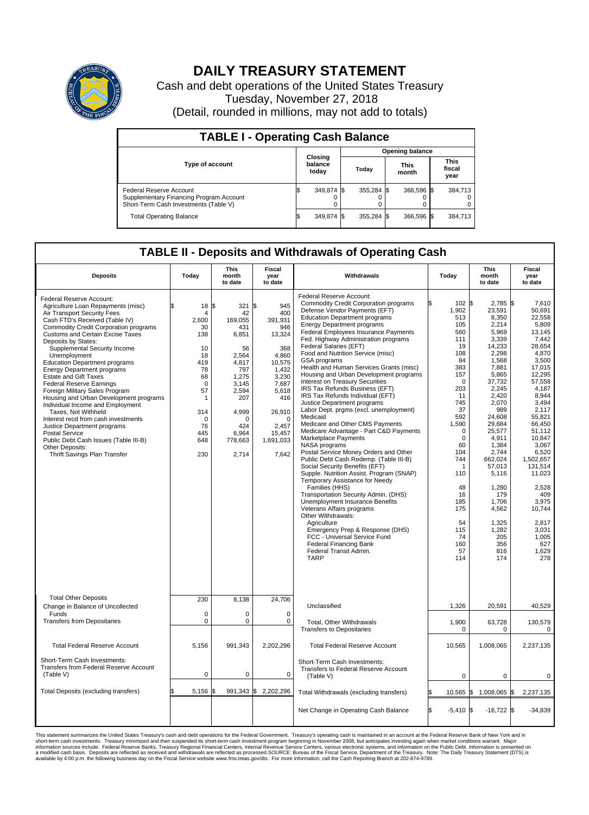

## **DAILY TREASURY STATEMENT**

Cash and debt operations of the United States Treasury Tuesday, November 27, 2018 (Detail, rounded in millions, may not add to totals)

| <b>TABLE I - Operating Cash Balance</b>                                                                     |    |                             |                        |            |  |                      |  |                               |  |  |  |
|-------------------------------------------------------------------------------------------------------------|----|-----------------------------|------------------------|------------|--|----------------------|--|-------------------------------|--|--|--|
|                                                                                                             |    |                             | <b>Opening balance</b> |            |  |                      |  |                               |  |  |  |
| Type of account                                                                                             |    | Closing<br>balance<br>today |                        | Today      |  | <b>This</b><br>month |  | <b>This</b><br>fiscal<br>year |  |  |  |
| Federal Reserve Account<br>Supplementary Financing Program Account<br>Short-Term Cash Investments (Table V) |    | 349,874 \$                  |                        | 355.284 \$ |  | 366.596 \$           |  | 384,713                       |  |  |  |
| <b>Total Operating Balance</b>                                                                              | ß. | 349,874 \$                  |                        | 355,284 \$ |  | 366,596 \$           |  | 384,713                       |  |  |  |

## **TABLE II - Deposits and Withdrawals of Operating Cash**

| <b>Deposits</b>                                                                                                                                                                                                                                                                                                                                                                                                                                                                                                                                                                                                                                                                                                                                                              | Today                                                                                                                                                                 | <b>This</b><br>month<br>to date                                                                                                                                 | <b>Fiscal</b><br>year<br>to date                                                                                                                                              | Withdrawals                                                                                                                                                                                                                                                                                                                                                                                                                                                                                                                                                                                                                                                                                                                                                                                                                                                                                                                                                                                                                                                                                                                                                                                                                                                                                 | Today                                                                                                                                                                                                                                                              | <b>This</b><br>month<br>to date                                                                                                                                                                                                                                                                                           | Fiscal<br>year<br>to date                                                                                                                                                                                                                                                                                                            |
|------------------------------------------------------------------------------------------------------------------------------------------------------------------------------------------------------------------------------------------------------------------------------------------------------------------------------------------------------------------------------------------------------------------------------------------------------------------------------------------------------------------------------------------------------------------------------------------------------------------------------------------------------------------------------------------------------------------------------------------------------------------------------|-----------------------------------------------------------------------------------------------------------------------------------------------------------------------|-----------------------------------------------------------------------------------------------------------------------------------------------------------------|-------------------------------------------------------------------------------------------------------------------------------------------------------------------------------|---------------------------------------------------------------------------------------------------------------------------------------------------------------------------------------------------------------------------------------------------------------------------------------------------------------------------------------------------------------------------------------------------------------------------------------------------------------------------------------------------------------------------------------------------------------------------------------------------------------------------------------------------------------------------------------------------------------------------------------------------------------------------------------------------------------------------------------------------------------------------------------------------------------------------------------------------------------------------------------------------------------------------------------------------------------------------------------------------------------------------------------------------------------------------------------------------------------------------------------------------------------------------------------------|--------------------------------------------------------------------------------------------------------------------------------------------------------------------------------------------------------------------------------------------------------------------|---------------------------------------------------------------------------------------------------------------------------------------------------------------------------------------------------------------------------------------------------------------------------------------------------------------------------|--------------------------------------------------------------------------------------------------------------------------------------------------------------------------------------------------------------------------------------------------------------------------------------------------------------------------------------|
| Federal Reserve Account:<br>Agriculture Loan Repayments (misc)<br>Air Transport Security Fees<br>Cash FTD's Received (Table IV)<br><b>Commodity Credit Corporation programs</b><br><b>Customs and Certain Excise Taxes</b><br>Deposits by States:<br>Supplemental Security Income<br>Unemployment<br><b>Education Department programs</b><br><b>Energy Department programs</b><br><b>Estate and Gift Taxes</b><br><b>Federal Reserve Earnings</b><br>Foreign Military Sales Program<br>Housing and Urban Development programs<br>Individual Income and Employment<br>Taxes. Not Withheld<br>Interest recd from cash investments<br>Justice Department programs<br>Postal Service<br>Public Debt Cash Issues (Table III-B)<br>Other Deposits:<br>Thrift Savings Plan Transfer | 18<br>\$<br>$\overline{4}$<br>2,600<br>30<br>138<br>10<br>18<br>419<br>78<br>68<br>$\mathbf 0$<br>57<br>$\mathbf{1}$<br>314<br>$\mathbf 0$<br>76<br>445<br>648<br>230 | l\$<br>321S<br>42<br>169,055<br>431<br>6,851<br>56<br>2,564<br>4,817<br>797<br>1,275<br>3.145<br>2,594<br>207<br>4,999<br>n<br>424<br>6,964<br>778,663<br>2,714 | 945<br>400<br>391.931<br>946<br>13,324<br>368<br>4,860<br>10,575<br>1,432<br>3,230<br>7,687<br>5,618<br>416<br>26,910<br>$\mathbf 0$<br>2,457<br>15,457<br>1,691,033<br>7,642 | Federal Reserve Account:<br><b>Commodity Credit Corporation programs</b><br>Defense Vendor Payments (EFT)<br><b>Education Department programs</b><br><b>Energy Department programs</b><br><b>Federal Employees Insurance Payments</b><br>Fed. Highway Administration programs<br>Federal Salaries (EFT)<br>Food and Nutrition Service (misc)<br><b>GSA</b> programs<br>Health and Human Services Grants (misc)<br>Housing and Urban Development programs<br>Interest on Treasury Securities<br>IRS Tax Refunds Business (EFT)<br>IRS Tax Refunds Individual (EFT)<br>Justice Department programs<br>Labor Dept. prgms (excl. unemployment)<br>Medicaid<br>Medicare and Other CMS Payments<br>Medicare Advantage - Part C&D Payments<br>Marketplace Payments<br>NASA programs<br>Postal Service Money Orders and Other<br>Public Debt Cash Redemp. (Table III-B)<br>Social Security Benefits (EFT)<br>Supple. Nutrition Assist. Program (SNAP)<br>Temporary Assistance for Needy<br>Families (HHS)<br>Transportation Security Admin. (DHS)<br>Unemployment Insurance Benefits<br>Veterans Affairs programs<br>Other Withdrawals:<br>Agriculture<br>Emergency Prep & Response (DHS)<br>FCC - Universal Service Fund<br><b>Federal Financing Bank</b><br>Federal Transit Admin.<br><b>TARP</b> | 102S<br>1,902<br>513<br>105<br>560<br>111<br>19<br>108<br>84<br>383<br>157<br>$\mathbf 0$<br>203<br>11<br>745<br>37<br>592<br>1,590<br>$\mathbf 0$<br>$\mathbf 0$<br>60<br>104<br>744<br>1<br>110<br>48<br>16<br>185<br>175<br>54<br>115<br>74<br>160<br>57<br>114 | $2,785$ \$<br>23,591<br>8,350<br>2,214<br>5,969<br>3,339<br>14,233<br>2,298<br>1,568<br>7,881<br>5,865<br>37,732<br>2,245<br>2,420<br>2.070<br>989<br>24,608<br>29,684<br>25,577<br>4,911<br>1,384<br>2.744<br>662,024<br>57,013<br>5,116<br>1,280<br>179<br>1,706<br>4,562<br>1,325<br>1,282<br>205<br>356<br>816<br>174 | 7,610<br>50,691<br>22,558<br>5,809<br>13,145<br>7.442<br>28,654<br>4,870<br>3,500<br>17.015<br>12,295<br>57,558<br>4.187<br>8,944<br>3,494<br>2,117<br>55.821<br>66.450<br>51,112<br>10,847<br>3,067<br>6.520<br>1,502,657<br>131.514<br>11,023<br>2,528<br>409<br>3.975<br>10,744<br>2,817<br>3,031<br>1,005<br>627<br>1.629<br>278 |
| <b>Total Other Deposits</b><br>Change in Balance of Uncollected<br>Funds                                                                                                                                                                                                                                                                                                                                                                                                                                                                                                                                                                                                                                                                                                     | 230<br>$\mathbf 0$<br>$\pmb{0}$                                                                                                                                       | 8,138<br>$\Omega$<br>0                                                                                                                                          | 24,706<br>$\Omega$                                                                                                                                                            | Unclassified                                                                                                                                                                                                                                                                                                                                                                                                                                                                                                                                                                                                                                                                                                                                                                                                                                                                                                                                                                                                                                                                                                                                                                                                                                                                                | 1,326                                                                                                                                                                                                                                                              | 20,591                                                                                                                                                                                                                                                                                                                    | 40,529                                                                                                                                                                                                                                                                                                                               |
| <b>Transfers from Depositaries</b>                                                                                                                                                                                                                                                                                                                                                                                                                                                                                                                                                                                                                                                                                                                                           |                                                                                                                                                                       |                                                                                                                                                                 | 0                                                                                                                                                                             | Total, Other Withdrawals<br><b>Transfers to Depositaries</b>                                                                                                                                                                                                                                                                                                                                                                                                                                                                                                                                                                                                                                                                                                                                                                                                                                                                                                                                                                                                                                                                                                                                                                                                                                | 1,900<br>$\mathbf 0$                                                                                                                                                                                                                                               | 63,728<br>0                                                                                                                                                                                                                                                                                                               | 130,579<br>$\mathbf 0$                                                                                                                                                                                                                                                                                                               |
| <b>Total Federal Reserve Account</b>                                                                                                                                                                                                                                                                                                                                                                                                                                                                                                                                                                                                                                                                                                                                         | 5,156                                                                                                                                                                 | 991,343                                                                                                                                                         | 2,202,296                                                                                                                                                                     | <b>Total Federal Reserve Account</b>                                                                                                                                                                                                                                                                                                                                                                                                                                                                                                                                                                                                                                                                                                                                                                                                                                                                                                                                                                                                                                                                                                                                                                                                                                                        | 10,565                                                                                                                                                                                                                                                             | 1,008,065                                                                                                                                                                                                                                                                                                                 | 2,237,135                                                                                                                                                                                                                                                                                                                            |
| Short-Term Cash Investments:<br>Transfers from Federal Reserve Account<br>(Table V)                                                                                                                                                                                                                                                                                                                                                                                                                                                                                                                                                                                                                                                                                          | $\mathbf 0$                                                                                                                                                           | 0                                                                                                                                                               | 0                                                                                                                                                                             | Short-Term Cash Investments:<br>Transfers to Federal Reserve Account<br>(Table V)                                                                                                                                                                                                                                                                                                                                                                                                                                                                                                                                                                                                                                                                                                                                                                                                                                                                                                                                                                                                                                                                                                                                                                                                           | 0                                                                                                                                                                                                                                                                  | 0                                                                                                                                                                                                                                                                                                                         | 0                                                                                                                                                                                                                                                                                                                                    |
| Total Deposits (excluding transfers)                                                                                                                                                                                                                                                                                                                                                                                                                                                                                                                                                                                                                                                                                                                                         | 5,156                                                                                                                                                                 |                                                                                                                                                                 | 991,343 \$ 2,202,296                                                                                                                                                          | Total Withdrawals (excluding transfers)                                                                                                                                                                                                                                                                                                                                                                                                                                                                                                                                                                                                                                                                                                                                                                                                                                                                                                                                                                                                                                                                                                                                                                                                                                                     | 10,565                                                                                                                                                                                                                                                             | 1,008,065 \$                                                                                                                                                                                                                                                                                                              | 2,237,135                                                                                                                                                                                                                                                                                                                            |
|                                                                                                                                                                                                                                                                                                                                                                                                                                                                                                                                                                                                                                                                                                                                                                              |                                                                                                                                                                       |                                                                                                                                                                 |                                                                                                                                                                               | Net Change in Operating Cash Balance                                                                                                                                                                                                                                                                                                                                                                                                                                                                                                                                                                                                                                                                                                                                                                                                                                                                                                                                                                                                                                                                                                                                                                                                                                                        | Ŝ.<br>$-5.410$ \\$                                                                                                                                                                                                                                                 | $-16,722$ \$                                                                                                                                                                                                                                                                                                              | $-34,839$                                                                                                                                                                                                                                                                                                                            |

This statement summarizes the United States Treasury's cash and debt operations for the Federal Government. Treasury operating in November 2008, but anticinates investing again when market conditions warrant. Major York an